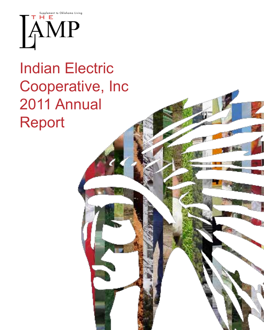

# Indian Electric Cooperative, Inc 2011 Annual Report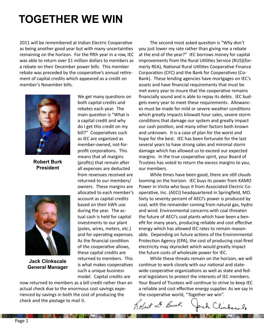# **Together we win**

2011 will be remembered at Indian Electric Cooperative as being another good year but with many uncertainties remaining on the horizon. For the fifth year in a row, IEC was able to return over \$1 million dollars to members as a rebate on their December power bills. This member rebate was preceded by the cooperative's annual retirement of capital credits which appeared as a credit on member's November bills.



**Robert Burk President**



**Jack Clinkscale General Manager**

We get many questions on both capital credits and rebates each year. The main question is "What is a capital credit and why do I get this credit on my bill?" Cooperatives such as IEC are organized as member-owned, not-forprofit corporations. This means that all margins (profits) that remain after all expenses are deducted from revenues received are returned to our members/ owners. These margins are allocated to each member's account as capital credits based on their kWh use during the year. The actual cash is held for capital investments to our plant (poles, wires, meters, etc.) and for operating expenses. As the financial condition of the cooperative allows, these capital credits are returned to members. This is what makes cooperatives such a unique business model. Capital credits are

now returned to members as a bill credit rather than an actual check due to the enormous cost savings experienced by savings in both the cost of producing the check and the postage to mail it.

The Society of the Control of the Control of the Control of the Control of the Control of the Control of the Control of the Control of the Control of the Control of the Control of the Control of the Control of the Control

The second most asked question is "Why don't you just lower my rate rather than giving me a rebate at the end of the year?" IEC borrows money for capital improvements from the Rural Utilities Service (RUS)(formerly REA), National Rural Utilities Cooperative Finance Corporation (CFC) and the Bank for Cooperatives (Co-Bank). These lending agencies have mortgages on IEC's assets and have financial requirements that must be met every year to insure that the cooperative remains financially sound and is able to repay its debts. IEC budgets every year to meet these requirements. Allowances must be made for mild or severe weather conditions which greatly impacts kilowatt hour sales, severe storm conditions that damage our system and greatly impact our cash position, and many other factors both known and unknown. It is a case of plan for the worst and hope for the best. IEC has been fortunate for the last several years to have strong sales and minimal storm damage which has allowed us to exceed our expected margins. In the true cooperative spirit, your Board of Trustees has voted to return the excess margins to you, our members.

While times have been good, there are still clouds looming on the horizon. IEC buys its power from KAMO Power in Vinita who buys it from Associated Electric Cooperative, Inc. (AECI) headquartered in Springfield, MO. Sixty to seventy percent of AECI's power is produced by coal, with the remainder coming from natural gas, hydro and wind. Environmental concerns with coal threaten the future of AECI's coal plants which have been a benefit for many years, producing reliable and cost effective energy which has allowed IEC rates to remain reasonable. Depending on future actions of the Environmental Protection Agency (EPA), the cost of producing coal-fired electricity may skyrocket which would greatly impact the future costs of wholesale power for IEC.

While these threats remain on the horizon, we will continue to work closely with our national and statewide cooperative organizations as well as state and federal legislators to protect the interests of IEC members. Your Board of Trustees will continue to strive to keep IEC a reliable and cost effective energy supplier. As we say in the cooperative world, "Together we win".

Robert L. Burk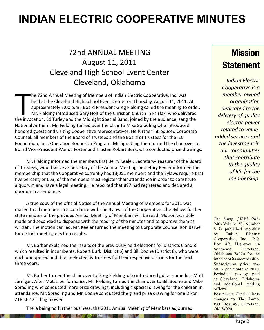# **INDIAN ELECTRIC COOPERATIVE MINUTES**

#### 72nd ANNUAL MEETING August 11, 2011 Cleveland High School Event Center Cleveland, Oklahoma

The 72nd Annual Meeting of Members of Indian Electric Cooperative, Inc. was<br>held at the Cleveland High School Event Center on Thursday, August 11, 2011. At<br>approximately 7:00 p.m., Board President Greg Fielding called the he 72nd Annual Meeting of Members of Indian Electric Cooperative, Inc. was held at the Cleveland High School Event Center on Thursday, August 11, 2011. At approximately 7:00 p.m., Board President Greg Fielding called the meeting to order. Mr. Fielding introduced Gary Holt of the Christian Church in Fairfax, who delivered National Anthem. Mr. Fielding turned over the chair to Mike Spradling who introduced honored guests and visiting Cooperative representatives. He further introduced Corporate Counsel, all members of the Board of Trustees and the Board of Trustees for the IEC Foundation, Inc., Operation Round-Up Program. Mr. Spradling then turned the chair over to Board Vice-President Wanda Foster and Trustee Robert Burk, who conducted prize drawings.

Mr. Fielding informed the members that Berry Keeler, Secretary-Treasurer of the Board of Trustees, would serve as Secretary of the Annual Meeting. Secretary Keeler informed the membership that the Cooperative currently has 13,051 members and the Bylaws require that five percent, or 653, of the members must register their attendance in order to constitute a quorum and have a legal meeting. He reported that 897 had registered and declared a quorum in attendance.

A true copy of the official Notice of the Annual Meeting of Members for 2011 was mailed to all members in accordance with the Bylaws of the Cooperative. The Bylaws further state minutes of the previous Annual Meeting of Members will be read. Motion was duly made and seconded to dispense with the reading of the minutes and to approve them as written. The motion carried. Mr. Keeler turned the meeting to Corporate Counsel Ron Barber for district meeting election results.

Mr. Barber explained the results of the previously held elections for Districts 6 and 8 which resulted in incumbents, Robert Burk (District 6) and Bill Boone (District 8), who were each unopposed and thus reelected as Trustees for their respective districts for the next three years.

Mr. Barber turned the chair over to Greg Fielding who introduced guitar comedian Matt Jernigan. After Matt's performance, Mr. Fielding turned the chair over to Bill Boone and Mike Spradling who conducted more prize drawings, including a special drawing for the children in attendance. Mr. Spradling and Mr. Boone conducted the grand prize drawing for one Dixon ZTR SE 42 riding mower.

There being no further business, the 2011 Annual Meeting of Members adjourned.

**DOM NO** 

**EXAMPLE RELEASE AND CONTRACTOR** 

#### **Mission Statement**

*Indian Electric Cooperative is a member-owned organization dedicated to the delivery of quality electric power related to valueadded services and the investment in our communities that contribute to the quality of life for the membership.*

*The Lamp* (USPS 942- 940) Volume 50, Number 8 is published monthly by Indian Electric Cooperative, Inc., P.O. Box 49, Highway 64 Southeast, Cleveland, Oklahoma 74020 for the interest of its membership. Subscription price was \$0.32 per month in 2010. Periodical postage paid at Cleveland, Oklahoma and additional mailing offices.

Postmaster: Send address changes to The Lamp, P.O. Box 49, Cleveland, OK 74020.

**REAL AREA CARD AND A**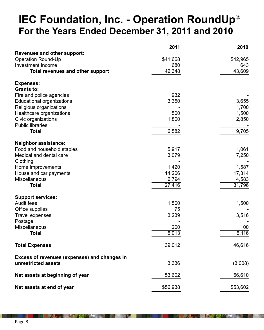### **IEC Foundation, Inc. - Operation RoundUp**® **For the Years Ended December 31, 2011 and 2010**

|                                              | 2011     | 2010     |
|----------------------------------------------|----------|----------|
| <b>Revenues and other support:</b>           |          |          |
| <b>Operation Round-Up</b>                    | \$41,668 | \$42,965 |
| <b>Investment Income</b>                     | 680      | 643      |
| <b>Total revenues and other support</b>      | 42,348   | 43,609   |
| <b>Expenses:</b>                             |          |          |
| <b>Grants to:</b>                            |          |          |
| Fire and police agencies                     | 932      |          |
| <b>Educational organizations</b>             | 3,350    | 3,655    |
| Religious organizations                      |          | 1,700    |
| Healthcare organizations                     | 500      | 1,500    |
| Civic organizations                          | 1,800    | 2,850    |
| <b>Public libraries</b>                      |          |          |
| <b>Total</b>                                 | 6,582    | 9,705    |
| <b>Neighbor assistance:</b>                  |          |          |
| Food and household staples                   | 5,917    | 1,061    |
| Medical and dental care                      | 3,079    | 7,250    |
| Clothing                                     |          |          |
| Home Improvements                            | 1,420    | 1,587    |
| House and car payments                       | 14,206   | 17,314   |
| Miscellaneous                                | 2,794    | 4,583    |
| <b>Total</b>                                 | 27,416   | 31,796   |
| <b>Support services:</b>                     |          |          |
| <b>Audit fees</b>                            | 1,500    | 1,500    |
| Office supplies                              | 75       |          |
| <b>Travel expenses</b>                       | 3,239    | 3,516    |
| Postage                                      |          |          |
| Miscellaneous                                | 200      | 100      |
| Total                                        | 5,013    | 5,116    |
| <b>Total Expenses</b>                        | 39,012   | 46,616   |
| Excess of revenues (expenses) and changes in |          |          |
| unrestricted assets                          | 3,336    | (3,008)  |
| Net assets at beginning of year              | 53,602   | 56,610   |
| Net assets at end of year                    | \$56,938 | \$53,602 |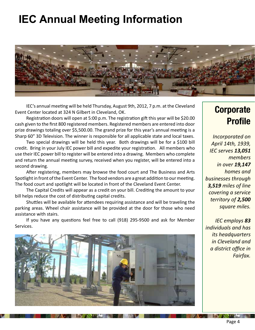# **IEC Annual Meeting Information**



IEC's annual meeting will be held Thursday, August 9th, 2012, 7 p.m. at the Cleveland Event Center located at 324 N Gilbert in Cleveland, OK.

Registration doors will open at 5:00 p.m. The registration gift this year will be \$20.00 cash given to the first 800 registered members. Registered members are entered into door prize drawings totaling over \$5,500.00. The grand prize for this year's annual meeting is a Sharp 60" 3D Television. The winner is responsible for all applicable state and local taxes.

Two special drawings will be held this year. Both drawings will be for a \$100 bill credit. Bring in your July IEC power bill and expedite your registration. All members who use their IEC power bill to register will be entered into a drawing. Members who complete and return the annual meeting survey, received when you register, will be entered into a second drawing.

After registering, members may browse the food court and The Business and Arts Spotlight in front of the Event Center. The food vendors are a great addition to our meeting. The food court and spotlight will be located in front of the Cleveland Event Center.

The Capital Credits will appear as a credit on your bill. Crediting the amount to your bill helps reduce the cost of distributing capital credits.

Shuttles will be available for attendees requiring assistance and will be traveling the parking areas. Wheel chair assistance will be provided at the door for those who need assistance with stairs.

If you have any questions feel free to call (918) 295-9500 and ask for Member Services.



#### **Corporate Profile**

*Incorporated on April 14th, 1939, IEC serves 13,051 members in over 19,147 homes and businesses through 3,519 miles of line covering a service territory of 2,500 square miles.*

*IEC employs 83 individuals and has its headquarters in Cleveland and a district office in Fairfax.*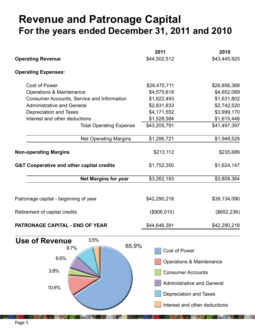### **Revenue and Patronage Capital For the years ended December 31, 2011 and 2010**

| <b>Operating Revenue</b>                                                                                                                                                                                                                           | 2011<br>\$44,502,512                                                                                                                                                                    | 2010<br>\$43,445,925                                                                                    |
|----------------------------------------------------------------------------------------------------------------------------------------------------------------------------------------------------------------------------------------------------|-----------------------------------------------------------------------------------------------------------------------------------------------------------------------------------------|---------------------------------------------------------------------------------------------------------|
| <b>Operating Expenses:</b>                                                                                                                                                                                                                         |                                                                                                                                                                                         |                                                                                                         |
| <b>Cost of Power</b><br><b>Operations &amp; Maintenance</b><br><b>Consumer Accounts, Service and Information</b><br><b>Administrative and General</b><br>Depreciation and Taxes<br>Interest and other deductions<br><b>Total Operating Expense</b> | \$28,475,711<br>\$4,575,618<br>\$1,622,493<br>\$2,831,833<br>\$4,171,552<br>\$1,528,584<br>\$43,205,791                                                                                 | \$26,856,368<br>\$4,652,089<br>\$1,631,802<br>\$2,742,520<br>\$3,999,170<br>\$1,615,448<br>\$41,497,397 |
| <b>Net Operating Margins</b>                                                                                                                                                                                                                       | \$1,296,721                                                                                                                                                                             | \$1,948,528                                                                                             |
| <b>Non-operating Margins</b>                                                                                                                                                                                                                       | \$213,112                                                                                                                                                                               | \$235,689                                                                                               |
| <b>G&amp;T Cooperative and other capital credits</b>                                                                                                                                                                                               | \$1,752,350                                                                                                                                                                             | \$1,624,147                                                                                             |
| <b>Net Margins for year</b>                                                                                                                                                                                                                        | \$3,262,183                                                                                                                                                                             | \$3,808,364                                                                                             |
| Patronage capital - beginning of year                                                                                                                                                                                                              | \$42,290,218                                                                                                                                                                            | \$39,134,090                                                                                            |
| Retirement of capital credits                                                                                                                                                                                                                      | (\$906,010)                                                                                                                                                                             | (\$652,236)                                                                                             |
| <b>PATRONAGE CAPITAL - END OF YEAR</b>                                                                                                                                                                                                             | \$44,646,391                                                                                                                                                                            | \$42,290,218                                                                                            |
| 3.5%<br><b>Use of Revenue</b><br>65.9%<br>9.7%<br>6.6%<br>3.8%<br>10.6%                                                                                                                                                                            | <b>Cost of Power</b><br><b>Operations &amp; Maintenance</b><br><b>Consumer Accounts</b><br><b>Administrative and General</b><br>Depreciation and Taxes<br>Interest and other deductions |                                                                                                         |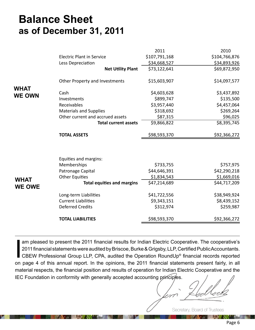#### **Balance Sheet as of December 31, 2011**

|               |                                   | 2011          | 2010          |
|---------------|-----------------------------------|---------------|---------------|
|               | <b>Electric Plant in Service</b>  | \$107,791,168 | \$104,766,876 |
|               | Less Depreciation                 | \$34,668,527  | \$34,893,926  |
|               | <b>Net Utility Plant</b>          | \$73,122,641  | \$69,872,950  |
|               | Other Property and Investments    | \$15,603,907  | \$14,097,577  |
| <b>WHAT</b>   | Cash                              | \$4,603,628   | \$3,437,892   |
| <b>WE OWN</b> | Investments                       | \$899,747     | \$135,500     |
|               | Receivables                       | \$3,957,440   | \$4,457,064   |
|               | <b>Materials and Supplies</b>     | \$318,692     | \$269,264     |
|               | Other current and accrued assets  | \$87,315      | \$96,025      |
|               | <b>Total current assets</b>       | \$9,866,822   | \$8,395,745   |
|               | <b>TOTAL ASSETS</b>               | \$98,593,370  | \$92,366,272  |
|               | Equities and margins:             |               |               |
|               | Memberships                       | \$733,755     | \$757,975     |
|               | Patronage Capital                 | \$44,646,391  | \$42,290,218  |
| <b>WHAT</b>   | <b>Other Equities</b>             | \$1,834,543   | \$1,669,016   |
| <b>WE OWE</b> | <b>Total equities and margins</b> | \$47,214,689  | \$44,717,209  |
|               | Long-term Liabilities             | \$41,722,556  | \$38,949,924  |
|               | <b>Current Liabilities</b>        | \$9,343,151   | \$8,439,152   |
|               | <b>Deferred Credits</b>           | \$312,974     | \$259,987     |
|               | <b>TOTAL LIABILITIES</b>          | \$98,593,370  | \$92,366,272  |

I am pleased to present the 2011 financial results for Indian Electric Cooperative. The cooperative's<br>
2011 financial statements were audited by Briscoe, Burke & Grigsby, LLP, Certified Public Accountants.<br>
CBEW Profession 2011 financial statements were audited by Briscoe, Burke & Grigsby, LLP, Certified Public Accountants. CBEW Professional Group LLP, CPA, audited the Operation RoundUp® financial records reported on page 4 of this annual report. In the opinions, the 2011 financial statements present fairly, in all material respects, the financial position and results of operation for Indian Electric Cooperative and the IEC Foundation in conformity with generally accepted accounting principles.

Secretary, Board of Trustees